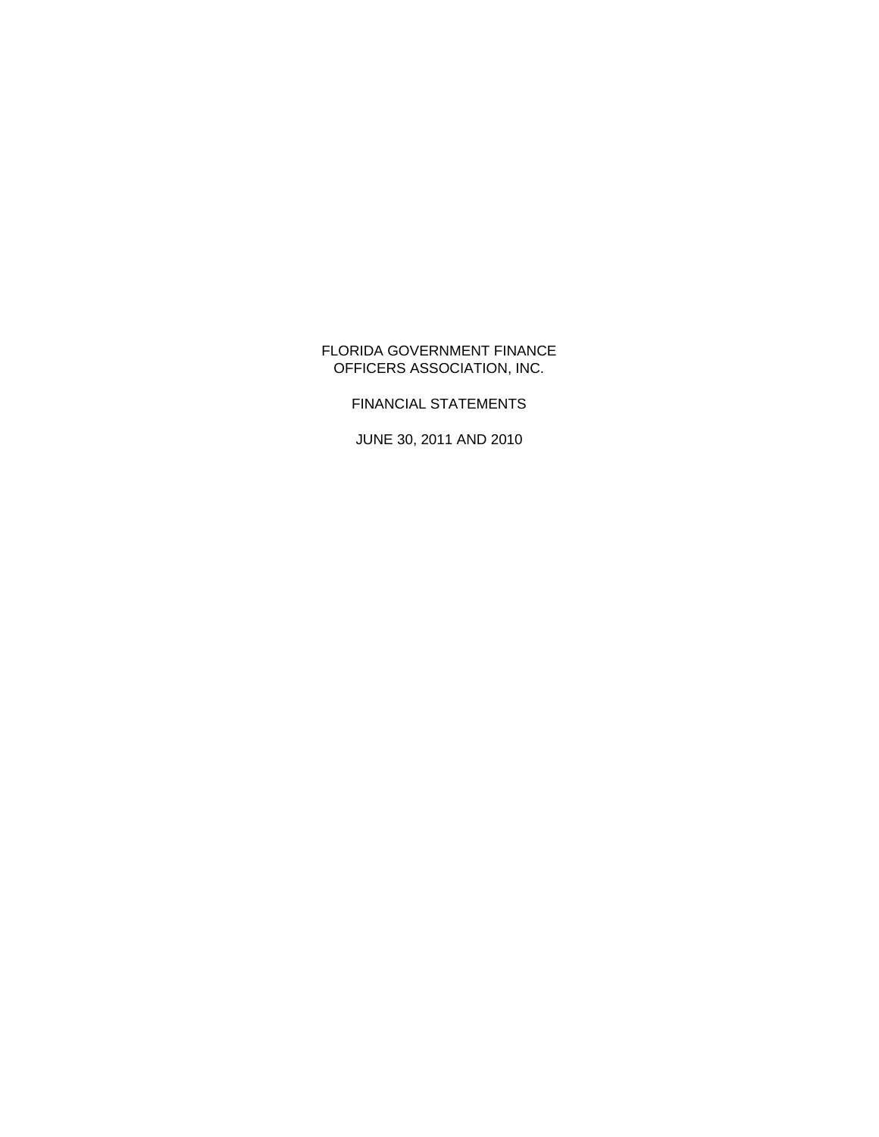### FLORIDA GOVERNMENT FINANCE OFFICERS ASSOCIATION, INC.

FINANCIAL STATEMENTS

JUNE 30, 2011 AND 2010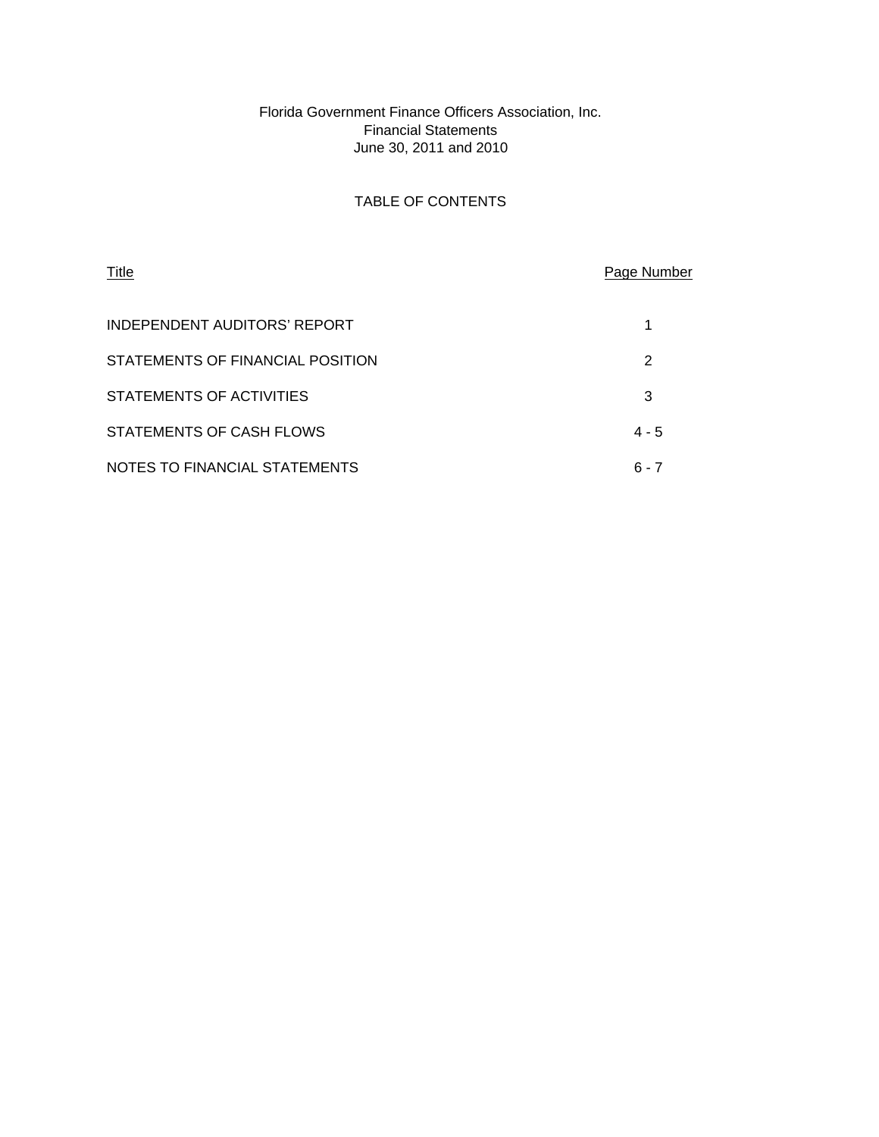### Florida Government Finance Officers Association, Inc. Financial Statements June 30, 2011 and 2010

## TABLE OF CONTENTS

| Title                            | Page Number |
|----------------------------------|-------------|
| INDEPENDENT AUDITORS' REPORT     |             |
| STATEMENTS OF FINANCIAL POSITION | 2           |
| STATEMENTS OF ACTIVITIES         | 3           |
| STATEMENTS OF CASH FLOWS         | $4 - 5$     |
| NOTES TO FINANCIAL STATEMENTS    | 6 - 7       |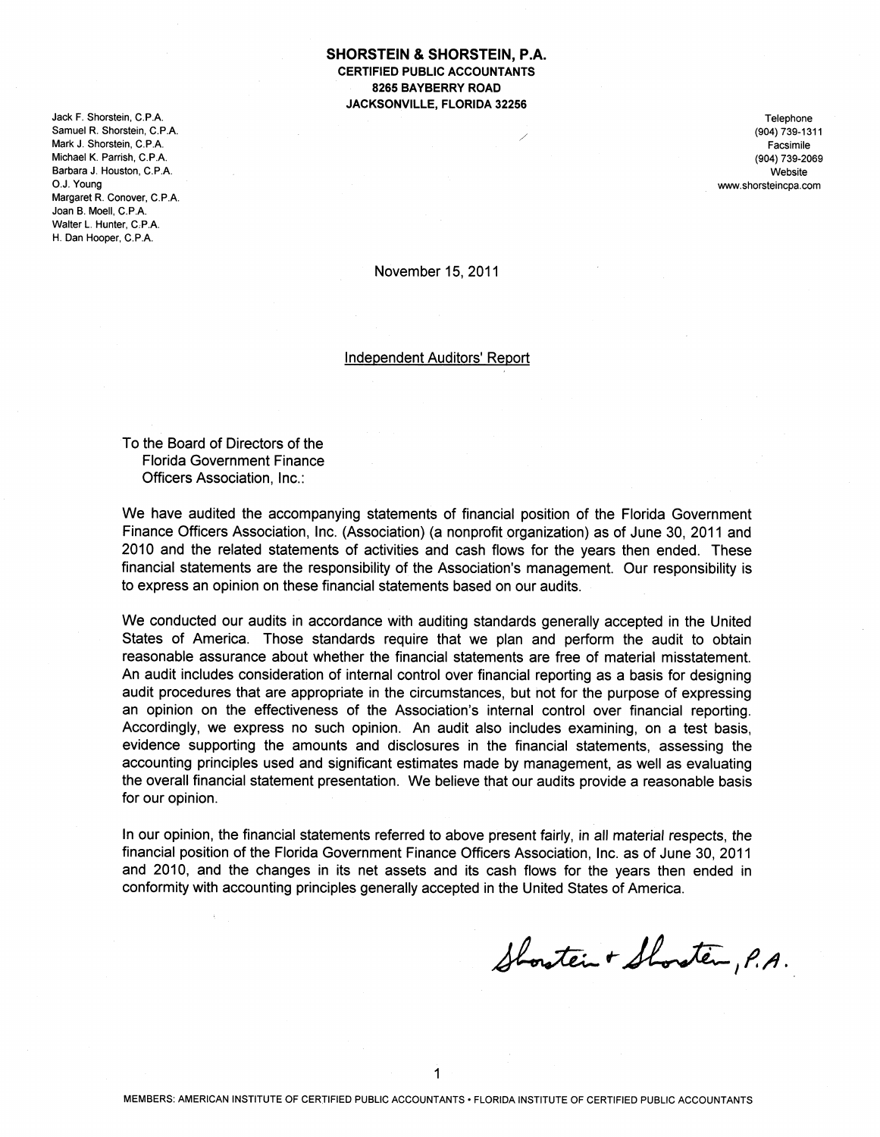Jack F. Shorstein, C.P.A. Samuel R. Shorstein, C.P.A. Mark J. Shorstein, C.P.A. Michael K. Parrish, C.P.A. Barbara J. Houston, C.P.A. O.J. Young Margaret R. Conover, C.P.A. Joan B. Moell, C.P.A. Walter L. Hunter, C.P.A. H. Dan Hooper, C.P.A.

**SHORSTEIN & SHORSTEIN, P.A. CERTIFIED PUBLIC ACCOUNTANTS** 8265 BAYBERRY ROAD JACKSONVILLE, FLORIDA 32256

> Telephone (904) 739-1311 Facsimile (904) 739-2069 Website www.shorsteincpa.com

November 15, 2011

**Independent Auditors' Report** 

To the Board of Directors of the **Florida Government Finance** Officers Association, Inc.:

We have audited the accompanying statements of financial position of the Florida Government Finance Officers Association, Inc. (Association) (a nonprofit organization) as of June 30, 2011 and 2010 and the related statements of activities and cash flows for the years then ended. These financial statements are the responsibility of the Association's management. Our responsibility is to express an opinion on these financial statements based on our audits.

We conducted our audits in accordance with auditing standards generally accepted in the United States of America. Those standards require that we plan and perform the audit to obtain reasonable assurance about whether the financial statements are free of material misstatement. An audit includes consideration of internal control over financial reporting as a basis for designing audit procedures that are appropriate in the circumstances, but not for the purpose of expressing an opinion on the effectiveness of the Association's internal control over financial reporting. Accordingly, we express no such opinion. An audit also includes examining, on a test basis, evidence supporting the amounts and disclosures in the financial statements, assessing the accounting principles used and significant estimates made by management, as well as evaluating the overall financial statement presentation. We believe that our audits provide a reasonable basis for our opinion.

In our opinion, the financial statements referred to above present fairly, in all material respects, the financial position of the Florida Government Finance Officers Association. Inc. as of June 30, 2011 and 2010, and the changes in its net assets and its cash flows for the years then ended in conformity with accounting principles generally accepted in the United States of America.

Shoraten + Shoraten, P.A.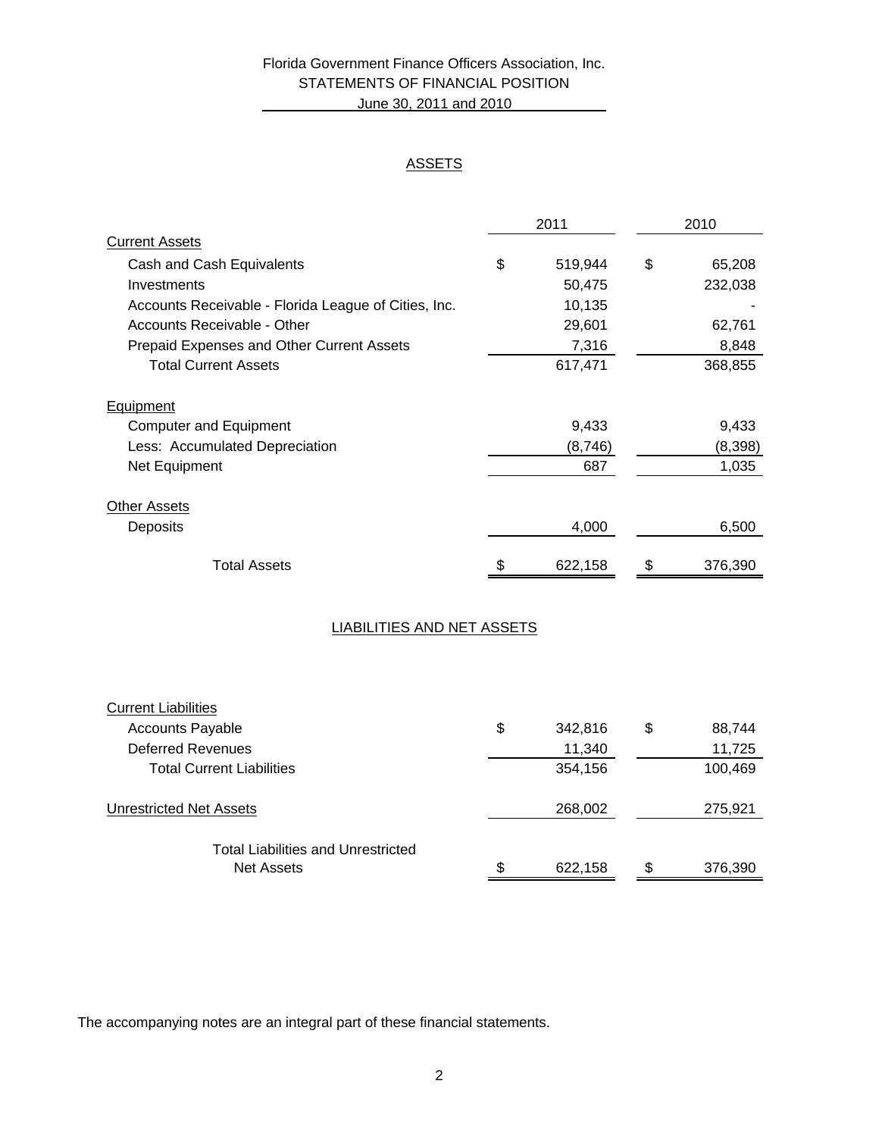# Florida Government Finance Officers Association, Inc. STATEMENTS OF FINANCIAL POSITION June 30, 2011 and 2010

### **ASSETS**

| 2010         | 2011    |                                                      |
|--------------|---------|------------------------------------------------------|
|              |         | <b>Current Assets</b>                                |
| \$<br>65,208 | 519,944 | \$<br>Cash and Cash Equivalents                      |
| 232,038      | 50,475  | Investments                                          |
|              | 10,135  | Accounts Receivable - Florida League of Cities, Inc. |
| 62,761       | 29,601  | Accounts Receivable - Other                          |
| 8,848        | 7,316   | Prepaid Expenses and Other Current Assets            |
| 368,855      | 617,471 | <b>Total Current Assets</b>                          |
|              |         | <b>Equipment</b>                                     |
| 9,433        | 9,433   | <b>Computer and Equipment</b>                        |
| (8,398)      | (8,746) | Less: Accumulated Depreciation                       |
| 1,035        | 687     | Net Equipment                                        |
|              |         | <b>Other Assets</b>                                  |
| 6,500        | 4,000   | Deposits                                             |
| 376,390      | 622,158 | <b>Total Assets</b>                                  |
|              |         | <b>LIABILITIES AND NET ASSETS</b>                    |

| <b>Current Liabilities</b>                                     |               |               |
|----------------------------------------------------------------|---------------|---------------|
| <b>Accounts Payable</b>                                        | \$<br>342,816 | \$<br>88,744  |
| Deferred Revenues                                              | 11,340        | 11,725        |
| <b>Total Current Liabilities</b>                               | 354,156       | 100,469       |
| <b>Unrestricted Net Assets</b>                                 | 268,002       | 275,921       |
| <b>Total Liabilities and Unrestricted</b><br><b>Net Assets</b> | \$<br>622,158 | \$<br>376,390 |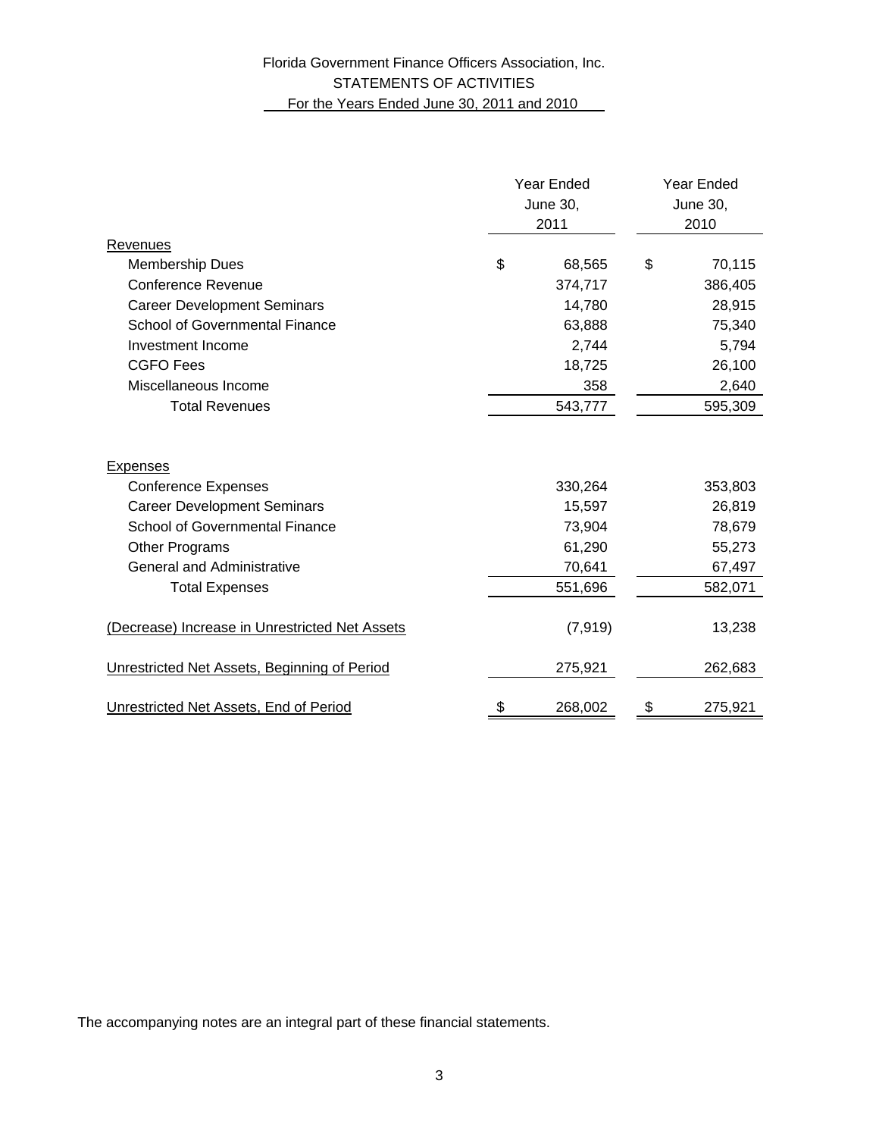# Florida Government Finance Officers Association, Inc. STATEMENTS OF ACTIVITIES For the Years Ended June 30, 2011 and 2010

|                                                | Year Ended<br>June 30,<br>2011 |          | <b>Year Ended</b><br><b>June 30,</b><br>2010 |         |
|------------------------------------------------|--------------------------------|----------|----------------------------------------------|---------|
| Revenues                                       |                                |          |                                              |         |
| <b>Membership Dues</b>                         | \$                             | 68,565   | \$                                           | 70,115  |
| <b>Conference Revenue</b>                      |                                | 374,717  |                                              | 386,405 |
| <b>Career Development Seminars</b>             |                                | 14,780   |                                              | 28,915  |
| <b>School of Governmental Finance</b>          |                                | 63,888   |                                              | 75,340  |
| Investment Income                              |                                | 2,744    |                                              | 5,794   |
| <b>CGFO</b> Fees                               |                                | 18,725   |                                              | 26,100  |
| Miscellaneous Income                           |                                | 358      |                                              | 2,640   |
| <b>Total Revenues</b>                          |                                | 543,777  |                                              | 595,309 |
| <b>Expenses</b>                                |                                |          |                                              |         |
| <b>Conference Expenses</b>                     |                                | 330,264  |                                              | 353,803 |
| <b>Career Development Seminars</b>             |                                | 15,597   |                                              | 26,819  |
| School of Governmental Finance                 |                                | 73,904   |                                              | 78,679  |
| Other Programs                                 |                                | 61,290   |                                              | 55,273  |
| <b>General and Administrative</b>              |                                | 70,641   |                                              | 67,497  |
| <b>Total Expenses</b>                          |                                | 551,696  |                                              | 582,071 |
| (Decrease) Increase in Unrestricted Net Assets |                                | (7, 919) |                                              | 13,238  |
| Unrestricted Net Assets, Beginning of Period   |                                | 275,921  |                                              | 262,683 |
| Unrestricted Net Assets, End of Period         | \$                             | 268,002  | \$                                           | 275,921 |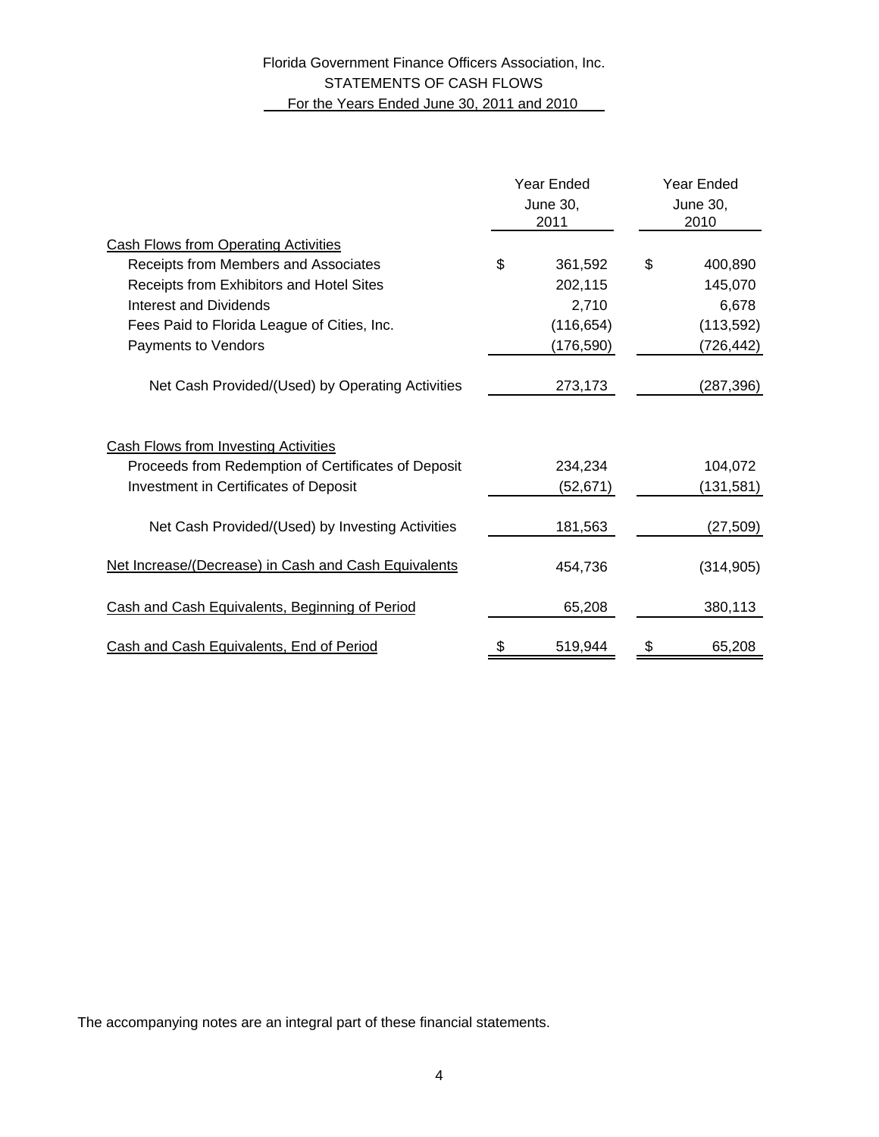# Florida Government Finance Officers Association, Inc. STATEMENTS OF CASH FLOWS For the Years Ended June 30, 2011 and 2010

|                                                      | Year Ended<br>June 30,<br>2011 |            | Year Ended<br>June 30,<br>2010 |            |
|------------------------------------------------------|--------------------------------|------------|--------------------------------|------------|
| <b>Cash Flows from Operating Activities</b>          |                                |            |                                |            |
| Receipts from Members and Associates                 | \$                             | 361,592    | \$                             | 400,890    |
| Receipts from Exhibitors and Hotel Sites             |                                | 202,115    |                                | 145,070    |
| Interest and Dividends                               |                                | 2,710      |                                | 6,678      |
| Fees Paid to Florida League of Cities, Inc.          |                                | (116, 654) |                                | (113, 592) |
| Payments to Vendors                                  |                                | (176,590)  |                                | (726,442)  |
| Net Cash Provided/(Used) by Operating Activities     |                                | 273,173    |                                | (287,396)  |
| Cash Flows from Investing Activities                 |                                |            |                                |            |
| Proceeds from Redemption of Certificates of Deposit  |                                | 234,234    |                                | 104,072    |
| <b>Investment in Certificates of Deposit</b>         |                                | (52, 671)  |                                | (131,581)  |
| Net Cash Provided/(Used) by Investing Activities     |                                | 181,563    |                                | (27, 509)  |
| Net Increase/(Decrease) in Cash and Cash Equivalents |                                | 454,736    |                                | (314, 905) |
| Cash and Cash Equivalents, Beginning of Period       |                                | 65,208     |                                | 380,113    |
| Cash and Cash Equivalents, End of Period             | \$                             | 519,944    | \$                             | 65,208     |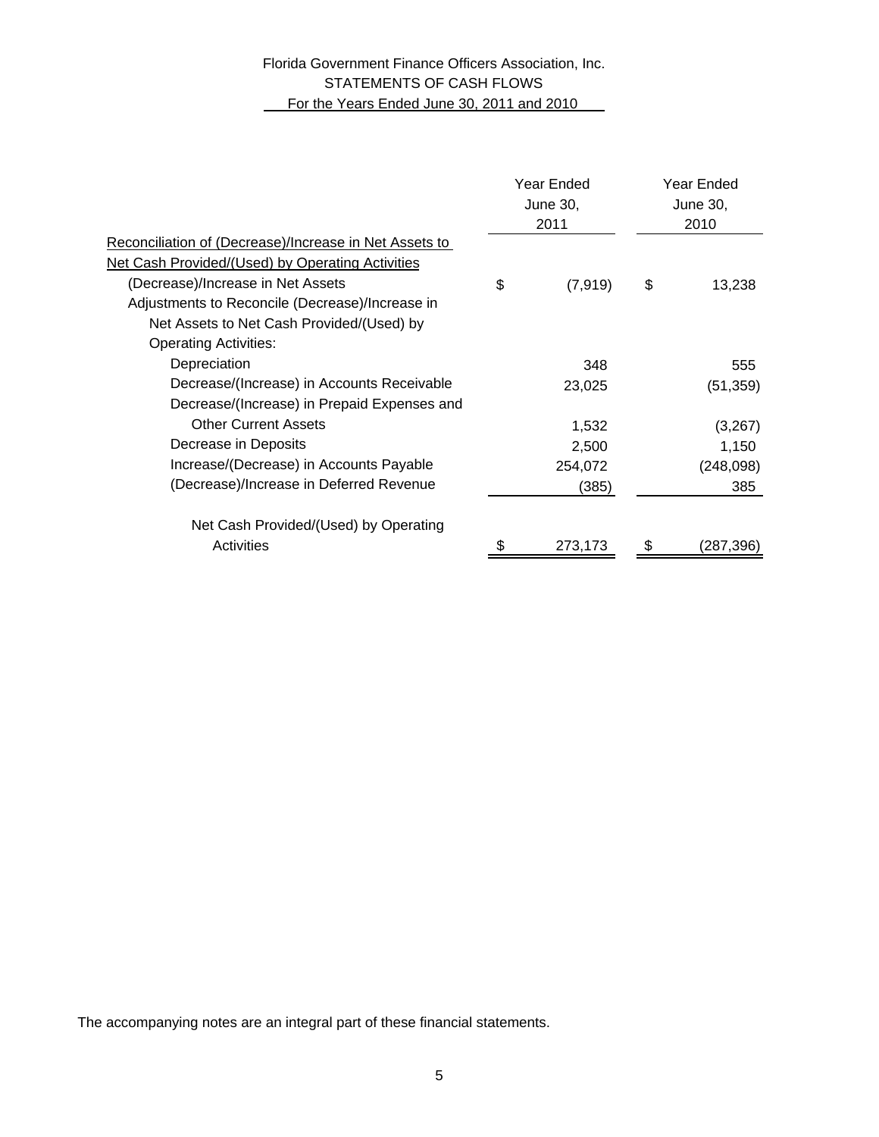# Florida Government Finance Officers Association, Inc. STATEMENTS OF CASH FLOWS For the Years Ended June 30, 2011 and 2010

| Reconciliation of (Decrease)/Increase in Net Assets to<br>Net Cash Provided/(Used) by Operating Activities<br>(Decrease)/Increase in Net Assets<br>\$<br>\$<br>(7, 919) | Year Ended<br>June 30,<br>2010 |  |
|-------------------------------------------------------------------------------------------------------------------------------------------------------------------------|--------------------------------|--|
|                                                                                                                                                                         |                                |  |
|                                                                                                                                                                         |                                |  |
|                                                                                                                                                                         | 13,238                         |  |
| Adjustments to Reconcile (Decrease)/Increase in                                                                                                                         |                                |  |
| Net Assets to Net Cash Provided/(Used) by                                                                                                                               |                                |  |
| <b>Operating Activities:</b>                                                                                                                                            |                                |  |
| Depreciation<br>348                                                                                                                                                     | 555                            |  |
| Decrease/(Increase) in Accounts Receivable<br>23,025                                                                                                                    | (51, 359)                      |  |
| Decrease/(Increase) in Prepaid Expenses and                                                                                                                             |                                |  |
| <b>Other Current Assets</b><br>1,532                                                                                                                                    | (3,267)                        |  |
| Decrease in Deposits<br>2,500                                                                                                                                           | 1,150                          |  |
| Increase/(Decrease) in Accounts Payable<br>254,072                                                                                                                      | (248, 098)                     |  |
| (Decrease)/Increase in Deferred Revenue<br>(385)                                                                                                                        | 385                            |  |
| Net Cash Provided/(Used) by Operating                                                                                                                                   |                                |  |
| Activities<br>273,173                                                                                                                                                   | (287,396)                      |  |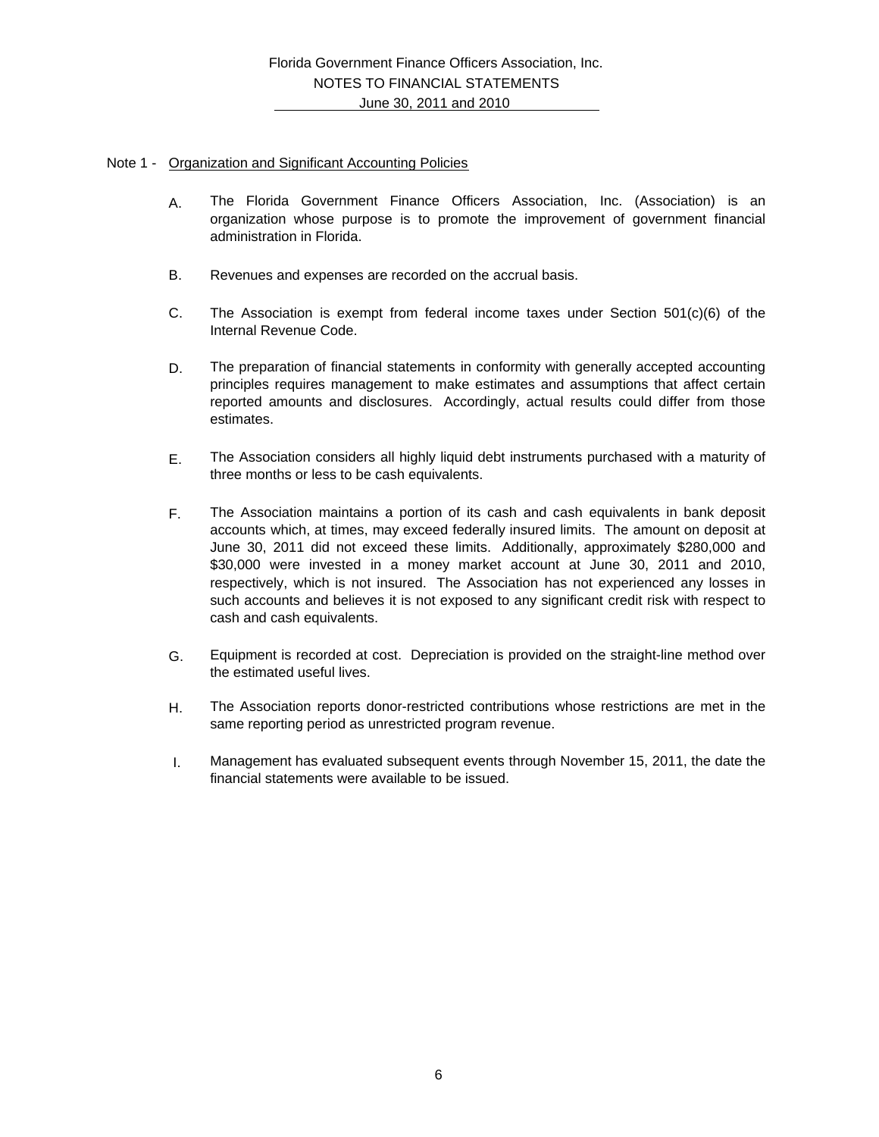#### Note 1 - Organization and Significant Accounting Policies

- A. The Florida Government Finance Officers Association, Inc. (Association) is an organization whose purpose is to promote the improvement of government financial administration in Florida.
- B. Revenues and expenses are recorded on the accrual basis.
- C. The Association is exempt from federal income taxes under Section  $501(c)(6)$  of the Internal Revenue Code.
- D. The preparation of financial statements in conformity with generally accepted accounting principles requires management to make estimates and assumptions that affect certain reported amounts and disclosures. Accordingly, actual results could differ from those estimates.
- E. The Association considers all highly liquid debt instruments purchased with a maturity of three months or less to be cash equivalents.
- F. The Association maintains a portion of its cash and cash equivalents in bank deposit accounts which, at times, may exceed federally insured limits. The amount on deposit at June 30, 2011 did not exceed these limits. Additionally, approximately \$280,000 and \$30,000 were invested in a money market account at June 30, 2011 and 2010, respectively, which is not insured. The Association has not experienced any losses in such accounts and believes it is not exposed to any significant credit risk with respect to cash and cash equivalents.
- G. Equipment is recorded at cost. Depreciation is provided on the straight-line method over the estimated useful lives.
- H. The Association reports donor-restricted contributions whose restrictions are met in the same reporting period as unrestricted program revenue.
- I. Management has evaluated subsequent events through November 15, 2011, the date the financial statements were available to be issued.